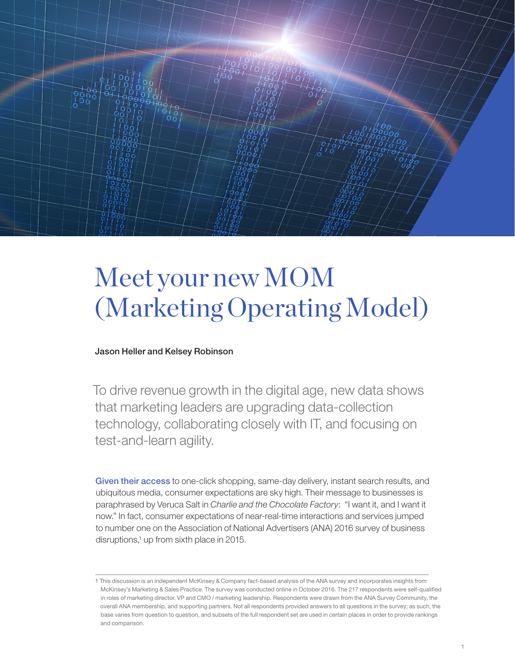

# Meet your new MOM (Marketing Operating Model)

## Jason Heller and Kelsey Robinson

To drive revenue growth in the digital age, new data shows that marketing leaders are upgrading data-collection technology, collaborating closely with IT, and focusing on test-and-learn agility.

Given their access to one-click shopping, same-day delivery, instant search results, and ubiquitous media, consumer expectations are sky high. Their message to businesses is paraphrased by Veruca Salt in *Charlie and the Chocolate Factory*: "I want it, and I want it now." In fact, consumer expectations of near-real-time interactions and services jumped to number one on the Association of National Advertisers (ANA) 2016 survey of business disruptions,<sup>1</sup> up from sixth place in 2015.

<sup>1</sup> This discussion is an independent McKinsey & Company fact-based analysis of the ANA survey and incorporates insights from McKinsey's Marketing & Sales Practice. The survey was conducted online in October 2016. The 217 respondents were self-qualified in roles of marketing director, VP and CMO / marketing leadership. Respondents were drawn from the ANA Survey Community, the overall ANA membership, and supporting partners. Not all respondents provided answers to all questions in the survey; as such, the base varies from question to question, and subsets of the full respondent set are used in certain places in order to provide rankings and comparison.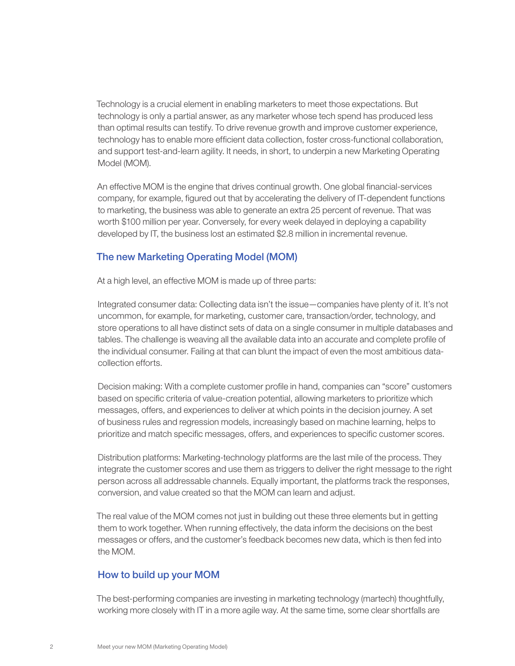Technology is a crucial element in enabling marketers to meet those expectations. But technology is only a partial answer, as any marketer whose tech spend has produced less than optimal results can testify. To drive revenue growth and improve customer experience, technology has to enable more efficient data collection, foster cross-functional collaboration, and support test-and-learn agility. It needs, in short, to underpin a new Marketing Operating Model (MOM).

An effective MOM is the engine that drives continual growth. One global financial-services company, for example, figured out that by accelerating the delivery of IT-dependent functions to marketing, the business was able to generate an extra 25 percent of revenue. That was worth \$100 million per year. Conversely, for every week delayed in deploying a capability developed by IT, the business lost an estimated \$2.8 million in incremental revenue.

## The new Marketing Operating Model (MOM)

At a high level, an effective MOM is made up of three parts:

Integrated consumer data: Collecting data isn't the issue—companies have plenty of it. It's not uncommon, for example, for marketing, customer care, transaction/order, technology, and store operations to all have distinct sets of data on a single consumer in multiple databases and tables. The challenge is weaving all the available data into an accurate and complete profile of the individual consumer. Failing at that can blunt the impact of even the most ambitious datacollection efforts.

Decision making: With a complete customer profile in hand, companies can "score" customers based on specific criteria of value-creation potential, allowing marketers to prioritize which messages, offers, and experiences to deliver at which points in the decision journey. A set of business rules and regression models, increasingly based on machine learning, helps to prioritize and match specific messages, offers, and experiences to specific customer scores.

Distribution platforms: Marketing-technology platforms are the last mile of the process. They integrate the customer scores and use them as triggers to deliver the right message to the right person across all addressable channels. Equally important, the platforms track the responses, conversion, and value created so that the MOM can learn and adjust.

The real value of the MOM comes not just in building out these three elements but in getting them to work together. When running effectively, the data inform the decisions on the best messages or offers, and the customer's feedback becomes new data, which is then fed into the MOM.

## How to build up your MOM

The best-performing companies are investing in marketing technology (martech) thoughtfully, working more closely with IT in a more agile way. At the same time, some clear shortfalls are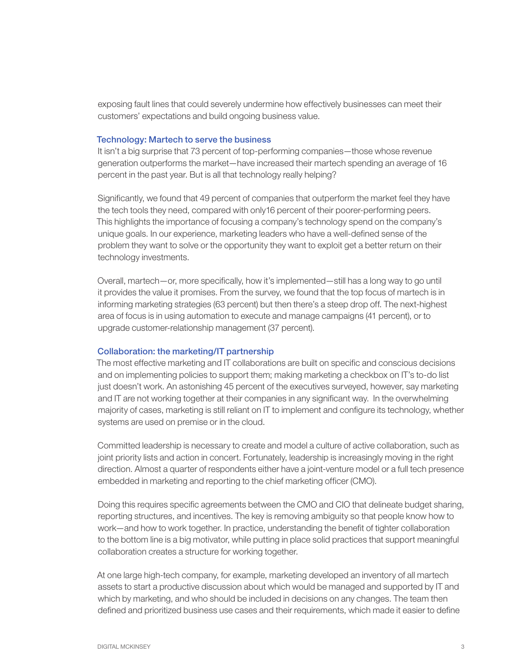exposing fault lines that could severely undermine how effectively businesses can meet their customers' expectations and build ongoing business value.

#### Technology: Martech to serve the business

It isn't a big surprise that 73 percent of top-performing companies—those whose revenue generation outperforms the market—have increased their martech spending an average of 16 percent in the past year. But is all that technology really helping?

Significantly, we found that 49 percent of companies that outperform the market feel they have the tech tools they need, compared with only16 percent of their poorer-performing peers. This highlights the importance of focusing a company's technology spend on the company's unique goals. In our experience, marketing leaders who have a well-defined sense of the problem they want to solve or the opportunity they want to exploit get a better return on their technology investments.

Overall, martech—or, more specifically, how it's implemented—still has a long way to go until it provides the value it promises. From the survey, we found that the top focus of martech is in informing marketing strategies (63 percent) but then there's a steep drop off. The next-highest area of focus is in using automation to execute and manage campaigns (41 percent), or to upgrade customer-relationship management (37 percent).

### Collaboration: the marketing/IT partnership

The most effective marketing and IT collaborations are built on specific and conscious decisions and on implementing policies to support them; making marketing a checkbox on IT's to-do list just doesn't work. An astonishing 45 percent of the executives surveyed, however, say marketing and IT are not working together at their companies in any significant way. In the overwhelming majority of cases, marketing is still reliant on IT to implement and configure its technology, whether systems are used on premise or in the cloud.

Committed leadership is necessary to create and model a culture of active collaboration, such as joint priority lists and action in concert. Fortunately, leadership is increasingly moving in the right direction. Almost a quarter of respondents either have a joint-venture model or a full tech presence embedded in marketing and reporting to the chief marketing officer (CMO).

Doing this requires specific agreements between the CMO and CIO that delineate budget sharing, reporting structures, and incentives. The key is removing ambiguity so that people know how to work—and how to work together. In practice, understanding the benefit of tighter collaboration to the bottom line is a big motivator, while putting in place solid practices that support meaningful collaboration creates a structure for working together.

At one large high-tech company, for example, marketing developed an inventory of all martech assets to start a productive discussion about which would be managed and supported by IT and which by marketing, and who should be included in decisions on any changes. The team then defined and prioritized business use cases and their requirements, which made it easier to define